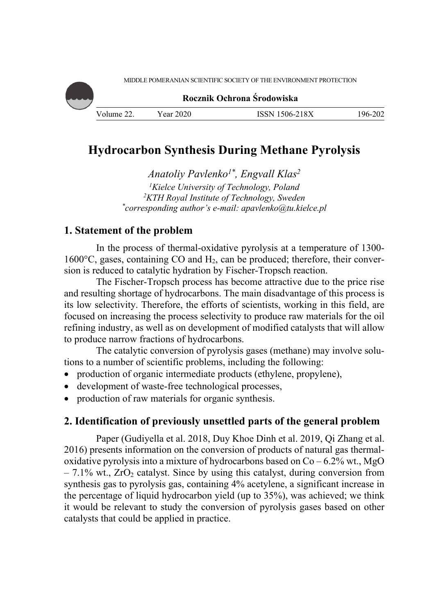

# **Hydrocarbon Synthesis During Methane Pyrolysis**

*Anatoliy Pavlenko1\*, Engvall Klas2*  <sup>1</sup> Kielce University of Technology, Poland<br><sup>2</sup> KTH Royal Institute of Technology, Swede *KTH Royal Institute of Technology, Sweden \* corresponding author's e-mail: apavlenko@tu.kielce.pl* 

## **1. Statement of the problem**

In the process of thermal-oxidative pyrolysis at a temperature of 1300- 1600 $^{\circ}$ C, gases, containing CO and H<sub>2</sub>, can be produced; therefore, their conversion is reduced to catalytic hydration by Fischer-Tropsch reaction.

The Fischer-Tropsch process has become attractive due to the price rise and resulting shortage of hydrocarbons. The main disadvantage of this process is its low selectivity. Therefore, the efforts of scientists, working in this field, are focused on increasing the process selectivity to produce raw materials for the oil refining industry, as well as on development of modified catalysts that will allow to produce narrow fractions of hydrocarbons.

The catalytic conversion of pyrolysis gases (methane) may involve solutions to a number of scientific problems, including the following:

- production of organic intermediate products (ethylene, propylene),
- development of waste-free technological processes,
- production of raw materials for organic synthesis.

# **2. Identification of previously unsettled parts of the general problem**

Paper (Gudiyella et al. 2018, Duy Khoe Dinh et al. 2019, Qi Zhang et al. 2016) presents information on the conversion of products of natural gas thermaloxidative pyrolysis into a mixture of hydrocarbons based on  $Co - 6.2\%$  wt., MgO  $-7.1\%$  wt.,  $ZrO<sub>2</sub>$  catalyst. Since by using this catalyst, during conversion from synthesis gas to pyrolysis gas, containing 4% acetylene, a significant increase in the percentage of liquid hydrocarbon yield (up to 35%), was achieved; we think it would be relevant to study the conversion of pyrolysis gases based on other catalysts that could be applied in practice.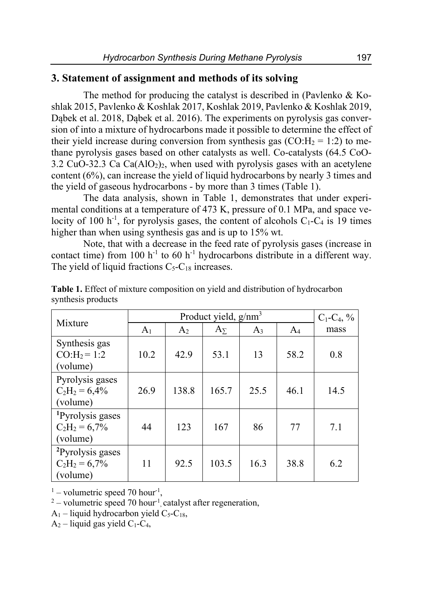### **3. Statement of assignment and methods of its solving**

The method for producing the catalyst is described in (Pavlenko & Koshlak 2015, Pavlenko & Koshlak 2017, Koshlak 2019, Pavlenko & Koshlak 2019, Dabek et al. 2018, Dabek et al. 2016). The experiments on pyrolysis gas conversion of into a mixture of hydrocarbons made it possible to determine the effect of their yield increase during conversion from synthesis gas  $(CO:H_2 = 1:2)$  to methane pyrolysis gases based on other catalysts as well. Co-catalysts (64.5 CoO-3.2 CuO-32.3 Ca  $Ca(AIO<sub>2</sub>)<sub>2</sub>$ , when used with pyrolysis gases with an acetylene content (6%), can increase the yield of liquid hydrocarbons by nearly 3 times and the yield of gaseous hydrocarbons - by more than 3 times (Table 1).

The data analysis, shown in Table 1, demonstrates that under experimental conditions at a temperature of 473 K, pressure of 0.1 MPa, and space velocity of 100 h<sup>-1</sup>, for pyrolysis gases, the content of alcohols  $C_1-C_4$  is 19 times higher than when using synthesis gas and is up to 15% wt.

Note, that with a decrease in the feed rate of pyrolysis gases (increase in contact time) from 100  $h^{-1}$  to 60  $h^{-1}$  hydrocarbons distribute in a different way. The yield of liquid fractions  $C_5 - C_{18}$  increases.

|                                                             |                | $C_1$ - $C_4$ , % |                       |       |       |      |
|-------------------------------------------------------------|----------------|-------------------|-----------------------|-------|-------|------|
| Mixture                                                     | A <sub>1</sub> | A <sub>2</sub>    | $\mathbf{A}_{\Sigma}$ | $A_3$ | $A_4$ | mass |
| Synthesis gas<br>$CO:H_2 = 1:2$<br>(volume)                 | 10.2           | 42.9              | 53.1                  | 13    | 58.2  | 0.8  |
| Pyrolysis gases<br>$C_2H_2 = 6,4%$<br>(volume)              | 26.9           | 138.8             | 165.7                 | 25.5  | 46.1  | 14.5 |
| <sup>1</sup> Pyrolysis gases<br>$C_2H_2 = 6,7%$<br>(volume) | 44             | 123               | 167                   | 86    | 77    | 7.1  |
| <sup>2</sup> Pyrolysis gases<br>$C_2H_2 = 6,7%$<br>(volume) | 11             | 92.5              | 103.5                 | 16.3  | 38.8  | 6.2  |

**Table 1.** Effect of mixture composition on yield and distribution of hydrocarbon synthesis products

<sup>1</sup> – volumetric speed 70 hour<sup>-1</sup>,<br><sup>2</sup> – volumetric speed 70 hour<sup>-1</sup>

 $2$  – volumetric speed 70 hour<sup>-1</sup> catalyst after regeneration,

 $A_1$  – liquid hydrocarbon yield C<sub>5</sub>-C<sub>18</sub>,

 $A_2$  – liquid gas yield C<sub>1</sub>-C<sub>4</sub>,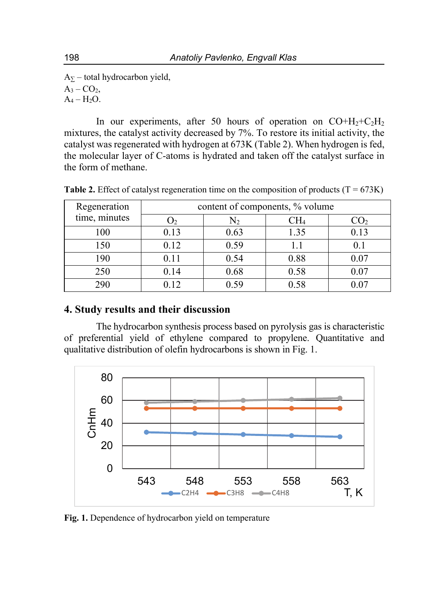$A_{\Sigma}$  – total hydrocarbon yield,  $A_3 - CO_2$ ,  $A_4 - H_2O$ .

In our experiments, after 50 hours of operation on  $CO+H<sub>2</sub>+C<sub>2</sub>H<sub>2</sub>$ mixtures, the catalyst activity decreased by 7%. To restore its initial activity, the catalyst was regenerated with hydrogen at 673K (Table 2). When hydrogen is fed, the molecular layer of C-atoms is hydrated and taken off the catalyst surface in the form of methane.

| Regeneration  | content of components, % volume |      |      |      |  |  |  |  |
|---------------|---------------------------------|------|------|------|--|--|--|--|
| time, minutes |                                 | N2   | CH4  |      |  |  |  |  |
| 100           | 0.13                            | 0.63 | 1.35 | 0.13 |  |  |  |  |
| 150           | 0.12                            | 0.59 |      |      |  |  |  |  |
| 190           | 0.11                            | 0.54 | 0.88 | 0.07 |  |  |  |  |
| 250           | 0.14                            | 0.68 | 0.58 | 0.07 |  |  |  |  |
| 290           | 0.12                            | 0.59 | 0.58 |      |  |  |  |  |

**Table 2.** Effect of catalyst regeneration time on the composition of products  $(T = 673K)$ 

# **4. Study results and their discussion**

The hydrocarbon synthesis process based on pyrolysis gas is characteristic of preferential yield of ethylene compared to propylene. Quantitative and qualitative distribution of olefin hydrocarbons is shown in Fig. 1.



**Fig. 1.** Dependence of hydrocarbon yield on temperature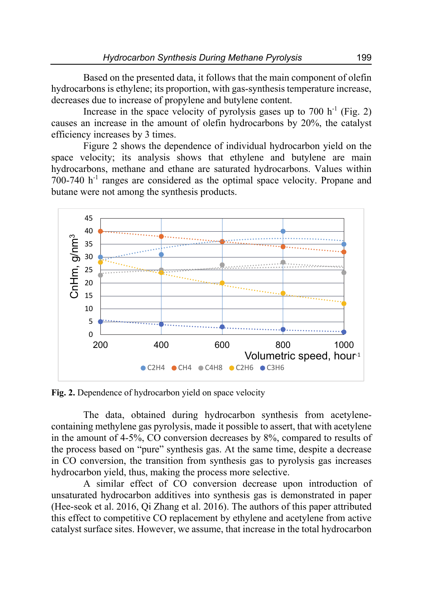Based on the presented data, it follows that the main component of olefin hydrocarbons is ethylene; its proportion, with gas-synthesis temperature increase, decreases due to increase of propylene and butylene content.

Increase in the space velocity of pyrolysis gases up to 700  $h^{-1}$  (Fig. 2) causes an increase in the amount of olefin hydrocarbons by 20%, the catalyst efficiency increases by 3 times.

Figure 2 shows the dependence of individual hydrocarbon yield on the space velocity; its analysis shows that ethylene and butylene are main hydrocarbons, methane and ethane are saturated hydrocarbons. Values within  $700-740$  h<sup>-1</sup> ranges are considered as the optimal space velocity. Propane and butane were not among the synthesis products.



**Fig. 2.** Dependence of hydrocarbon yield on space velocity

The data, obtained during hydrocarbon synthesis from acetylenecontaining methylene gas pyrolysis, made it possible to assert, that with acetylene in the amount of 4-5%, CO conversion decreases by 8%, compared to results of the process based on "pure" synthesis gas. At the same time, despite a decrease in CO conversion, the transition from synthesis gas to pyrolysis gas increases hydrocarbon yield, thus, making the process more selective.

A similar effect of CO conversion decrease upon introduction of unsaturated hydrocarbon additives into synthesis gas is demonstrated in paper (Hee-seok et al. 2016, Qi Zhang et al. 2016). The authors of this paper attributed this effect to competitive CO replacement by ethylene and acetylene from active catalyst surface sites. However, we assume, that increase in the total hydrocarbon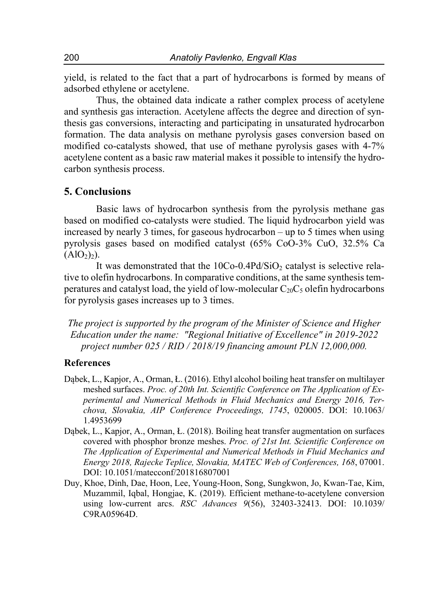yield, is related to the fact that a part of hydrocarbons is formed by means of adsorbed ethylene or acetylene.

Thus, the obtained data indicate a rather complex process of acetylene and synthesis gas interaction. Acetylene affects the degree and direction of synthesis gas conversions, interacting and participating in unsaturated hydrocarbon formation. The data analysis on methane pyrolysis gases conversion based on modified co-catalysts showed, that use of methane pyrolysis gases with 4-7% acetylene content as a basic raw material makes it possible to intensify the hydrocarbon synthesis process.

### **5. Conclusions**

Basic laws of hydrocarbon synthesis from the pyrolysis methane gas based on modified co-catalysts were studied. The liquid hydrocarbon yield was increased by nearly 3 times, for gaseous hydrocarbon – up to 5 times when using pyrolysis gases based on modified catalyst (65% CoO-3% CuO, 32.5% Ca  $(AIO_2)$ .

It was demonstrated that the  $10Co-0.4Pd/SiO<sub>2</sub>$  catalyst is selective relative to olefin hydrocarbons. In comparative conditions, at the same synthesis temperatures and catalyst load, the yield of low-molecular  $C_{20}C_5$  olefin hydrocarbons for pyrolysis gases increases up to 3 times.

*The project is supported by the program of the Minister of Science and Higher Education under the name: "Regional Initiative of Excellence" in 2019-2022 project number 025 / RID / 2018/19 financing amount PLN 12,000,000.* 

#### **References**

- Dąbek, L., Kapjor, A., Orman, Ł. (2016). Ethyl alcohol boiling heat transfer on multilayer meshed surfaces. *Proc. of 20th Int. Scientific Conference on The Application of Experimental and Numerical Methods in Fluid Mechanics and Energy 2016, Terchova, Slovakia, AIP Conference Proceedings, 1745*, 020005. DOI: 10.1063/ 1.4953699
- Dąbek, L., Kapjor, A., Orman, Ł. (2018). Boiling heat transfer augmentation on surfaces covered with phosphor bronze meshes. *Proc. of 21st Int. Scientific Conference on The Application of Experimental and Numerical Methods in Fluid Mechanics and Energy 2018, Rajecke Teplice, Slovakia, MATEC Web of Conferences, 168*, 07001. DOI: 10.1051/matecconf/201816807001
- Duy, Khoe, Dinh, Dae, Hoon, Lee, Young-Hoon, Song, Sungkwon, Jo, Kwan-Tae, Kim, Muzammil, Iqbal, Hongjae, K. (2019). Efficient methane-to-acetylene conversion using low-current arcs. *RSC Advances 9*(56), 32403-32413. DOI: 10.1039/ C9RA05964D.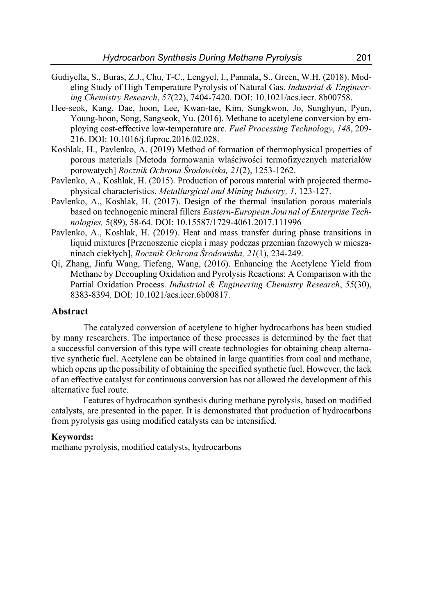- Gudiyella, S., Buras, Z.J., Chu, T-C., Lengyel, I., Pannala, S., Green, W.H. (2018). Modeling Study of High Temperature Pyrolysis of Natural Gas. *Industrial & Engineering Chemistry Research*, *57*(22), 7404-7420. DOI: 10.1021/acs.iecr. 8b00758.
- Hee-seok, Kang, Dae, hoon, Lee, Kwan-tae, Kim, Sungkwon, Jo, Sunghyun, Pyun, Young-hoon, Song, Sangseok, Yu. (2016). Methane to acetylene conversion by employing cost-effective low-temperature arc. *Fuel Processing Technology*, *148*, 209- 216. DOI: 10.1016/j.fuproc.2016.02.028.
- Koshlak, H., Pavlenko, A. (2019) Method of formation of thermophysical properties of porous materials [Metoda formowania właściwości termofizycznych materiałów porowatych] *Rocznik Ochrona Środowiska, 21*(2), 1253-1262.
- Pavlenko, A., Koshlak, H. (2015). Production of porous material with projected thermophysical characteristics. *Metallurgical and Mining Industry, 1*, 123-127.
- Pavlenko, A., Koshlak, H. (2017). Design of the thermal insulation porous materials based on technogenic mineral fillers *Eastern-European Journal of Enterprise Technologies,* 5(89), 58-64. DOI: 10.15587/1729-4061.2017.111996
- Pavlenko, A., Koshlak, H. (2019). Heat and mass transfer during phase transitions in liquid mixtures [Przenoszenie ciepła i masy podczas przemian fazowych w mieszaninach ciekłych], *Rocznik Ochrona Środowiska, 21*(1), 234-249.
- Qi, Zhang, Jinfu Wang, Tiefeng, Wang, (2016). Enhancing the Acetylene Yield from Methane by Decoupling Oxidation and Pyrolysis Reactions: A Comparison with the Partial Oxidation Process. *Industrial & Engineering Chemistry Research*, *55*(30), 8383-8394. DOI: 10.1021/acs.iecr.6b00817.

#### **Abstract**

The catalyzed conversion of acetylene to higher hydrocarbons has been studied by many researchers. The importance of these processes is determined by the fact that a successful conversion of this type will create technologies for obtaining cheap alternative synthetic fuel. Acetylene can be obtained in large quantities from coal and methane, which opens up the possibility of obtaining the specified synthetic fuel. However, the lack of an effective catalyst for continuous conversion has not allowed the development of this alternative fuel route.

Features of hydrocarbon synthesis during methane pyrolysis, based on modified catalysts, are presented in the paper. It is demonstrated that production of hydrocarbons from pyrolysis gas using modified catalysts can be intensified.

#### **Keywords:**

methane pyrolysis, modified catalysts, hydrocarbons